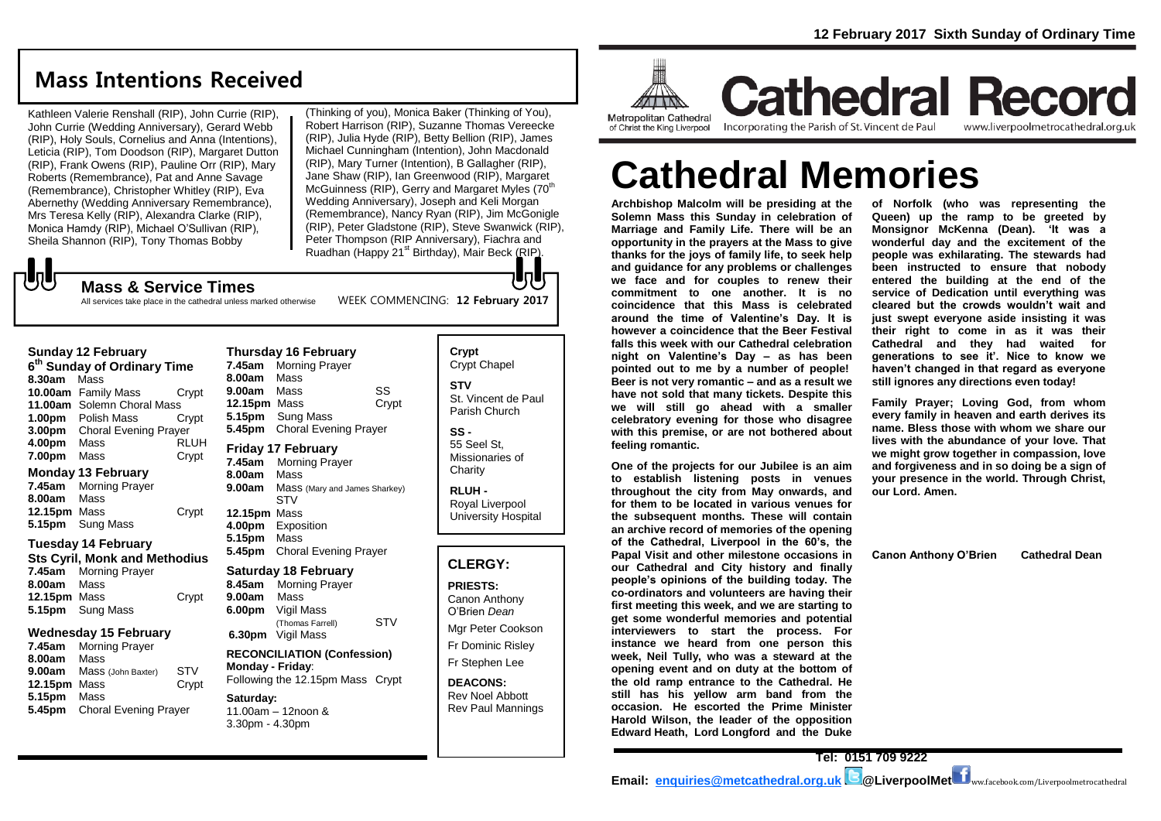# **Mass Intentions Received**

Kathleen Valerie Renshall (RIP), John Currie (RIP), John Currie (Wedding Anniversary), Gerard Webb (RIP), Holy Souls, Cornelius and Anna (Intentions), Leticia (RIP), Tom Doodson (RIP), Margaret Dutton (RIP), Frank Owens (RIP), Pauline Orr (RIP), Mary Roberts (Remembrance), Pat and Anne Savage (Remembrance), Christopher Whitley (RIP), Eva Abernethy (Wedding Anniversary Remembrance), Mrs Teresa Kelly (RIP), Alexandra Clarke (RIP), Monica Hamdy (RIP), Michael O'Sullivan (RIP), Sheila Shannon (RIP), Tony Thomas Bobby

(Thinking of you), Monica Baker (Thinking of You), Robert Harrison (RIP), Suzanne Thomas Vereecke (RIP), Julia Hyde (RIP), Betty Bellion (RIP), James Michael Cunningham (Intention), John Macdonald (RIP), Mary Turner (Intention), B Gallagher (RIP), Jane Shaw (RIP), Ian Greenwood (RIP), Margaret McGuinness (RIP), Gerry and Margaret Myles (70<sup>th</sup>) Wedding Anniversary), Joseph and Keli Morgan (Remembrance), Nancy Ryan (RIP), Jim McGonigle (RIP), Peter Gladstone (RIP), Steve Swanwick (RIP), Peter Thompson (RIP Anniversary), Fiachra and Ruadhan (Happy 21<sup>st</sup> Birthday), Mair Beck (RIP).

# $\sqrt{5}$

**Mass & Service Times**

#### WEEK COMMENCING: **12 February 2017** All services take place in the cathedral unless marked otherwise

### **Sunday 12 February**

- **6 th Sunday of Ordinary Time 8.30am** Mass **10.00am** Family Mass Crypt **11.00am** Solemn Choral Mass **1.00pm** Polish Mass Crypt **3.00pm** Choral Evening Prayer **4.00pm** Mass RLUH **7.00pm** Mass Crypt **Monday 13 February**
- **7.45am** Morning Prayer **8.00am** Mass **12.15pm** Mass Crypt **5.15pm** Sung Mass

### **Tuesday 14 February Sts Cyril, Monk and Methodius 7.45am** Morning Prayer

**8.00am** Mass **12.15pm** Mass Crypt **5.15pm** Sung Mass

### **Wednesday 15 February**

**7.45am** Morning Prayer **8.00am** Mass **9.00am** Mass (John Baxter) STV **12.15pm** Mass Crypt **5.15pm** Mass **5.45pm** Choral Evening Prayer

### **Thursday 16 February 7.45am** Morning Prayer **8.00am** Mass **9.00am** Mass SS **12.15pm** Mass Crypt **5.15pm** Sung Mass **5.45pm** Choral Evening Prayer **Friday 17 February 7.45am** Morning Prayer

**8.00am** Mass **9.00am** Mass (Mary and James Sharkey) **STV 12.15pm** Mass **4.00pm** Exposition **5.15pm** Mass **5.45pm** Choral Evening Prayer

# **Saturday 18 February**

**8.45am** Morning Prayer **9.00am** Mass **6.00pm** Vigil Mass (Thomas Farrell) STV **6.30pm** Vigil Mass **RECONCILIATION (Confession) Monday - Friday**:

### Following the 12.15pm Mass Crypt **Saturday:** 11.00am – 12noon &

3.30pm - 4.30pm

### **Crypt**  Crypt Chapel **STV** St. Vincent de Paul Parish Church **SS -**

JŋU

55 Seel St, Missionaries of **Charity** 

**RLUH -** Royal Liverpool University Hospital

### **CLERGY:**

**PRIESTS:** Canon Anthony O'Brien *Dean* Mgr Peter Cookson Fr Dominic Risley Fr Stephen Lee

**DEACONS:** Rev Noel Abbott Rev Paul Mannings



**Cathedral Record** Incorporating the Parish of St. Vincent de Paul www.liverpoolmetrocathedral.org.uk

# **Cathedral Memories**

**Archbishop Malcolm will be presiding at the Solemn Mass this Sunday in celebration of Marriage and Family Life. There will be an opportunity in the prayers at the Mass to give thanks for the joys of family life, to seek help and guidance for any problems or challenges we face and for couples to renew their commitment to one another. It is no coincidence that this Mass is celebrated around the time of Valentine's Day. It is however a coincidence that the Beer Festival falls this week with our Cathedral celebration night on Valentine's Day – as has been pointed out to me by a number of people! Beer is not very romantic – and as a result we have not sold that many tickets. Despite this we will still go ahead with a smaller celebratory evening for those who disagree with this premise, or are not bothered about feeling romantic.**

**One of the projects for our Jubilee is an aim to establish listening posts in venues throughout the city from May onwards, and for them to be located in various venues for the subsequent months. These will contain an archive record of memories of the opening of the Cathedral, Liverpool in the 60's, the Papal Visit and other milestone occasions in our Cathedral and City history and finally people's opinions of the building today. The co-ordinators and volunteers are having their first meeting this week, and we are starting to get some wonderful memories and potential interviewers to start the process. For instance we heard from one person this week, Neil Tully, who was a steward at the opening event and on duty at the bottom of the old ramp entrance to the Cathedral. He still has his yellow arm band from the occasion. He escorted the Prime Minister Harold Wilson, the leader of the opposition Edward Heath, Lord Longford and the Duke** 

**of Norfolk (who was representing the Queen) up the ramp to be greeted by Monsignor McKenna (Dean). 'It was a wonderful day and the excitement of the people was exhilarating. The stewards had been instructed to ensure that nobody entered the building at the end of the service of Dedication until everything was cleared but the crowds wouldn't wait and just swept everyone aside insisting it was their right to come in as it was their Cathedral and they had waited for generations to see it'. Nice to know we haven't changed in that regard as everyone still ignores any directions even today!**

**Family Prayer; Loving God, from whom every family in heaven and earth derives its name. Bless those with whom we share our lives with the abundance of your love. That we might grow together in compassion, love and forgiveness and in so doing be a sign of your presence in the world. Through Christ, our Lord. Amen.**

**Canon Anthony O'Brien Cathedral Dean**